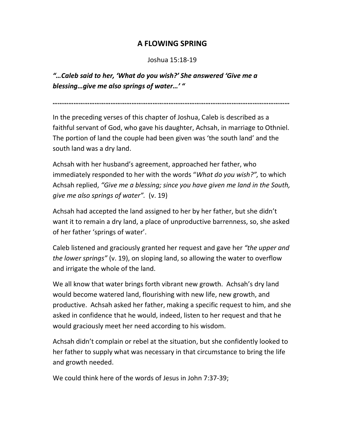## A FLOWING SPRING

## Joshua 15:18-19

"…Caleb said to her, 'What do you wish?' She answered 'Give me a blessing…give me also springs of water…' "

………………………………………………………………………………………………………………………

In the preceding verses of this chapter of Joshua, Caleb is described as a faithful servant of God, who gave his daughter, Achsah, in marriage to Othniel. The portion of land the couple had been given was 'the south land' and the south land was a dry land.

Achsah with her husband's agreement, approached her father, who immediately responded to her with the words "What do you wish?", to which Achsah replied, "Give me a blessing; since you have given me land in the South, give me also springs of water". (v. 19)

Achsah had accepted the land assigned to her by her father, but she didn't want it to remain a dry land, a place of unproductive barrenness, so, she asked of her father 'springs of water'.

Caleb listened and graciously granted her request and gave her "the upper and the lower springs" (v. 19), on sloping land, so allowing the water to overflow and irrigate the whole of the land.

We all know that water brings forth vibrant new growth. Achsah's dry land would become watered land, flourishing with new life, new growth, and productive. Achsah asked her father, making a specific request to him, and she asked in confidence that he would, indeed, listen to her request and that he would graciously meet her need according to his wisdom.

Achsah didn't complain or rebel at the situation, but she confidently looked to her father to supply what was necessary in that circumstance to bring the life and growth needed.

We could think here of the words of Jesus in John 7:37-39;